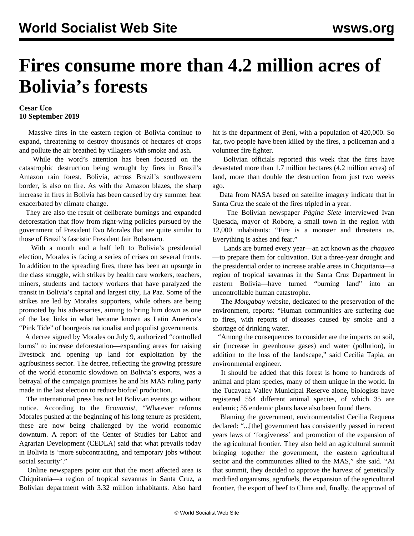## **Fires consume more than 4.2 million acres of Bolivia's forests**

## **Cesar Uco 10 September 2019**

 Massive fires in the eastern region of Bolivia continue to expand, threatening to destroy thousands of hectares of crops and pollute the air breathed by villagers with smoke and ash.

 While the word's attention has been focused on the catastrophic destruction being wrought by fires in Brazil's Amazon rain forest, Bolivia, across Brazil's southwestern border, is also on fire. As with the Amazon blazes, the sharp increase in fires in Bolivia has been caused by dry summer heat exacerbated by climate change.

 They are also the result of deliberate burnings and expanded deforestation that flow from right-wing policies pursued by the government of President Evo Morales that are quite similar to those of Brazil's fascistic President Jair Bolsonaro.

 With a month and a half left to Bolivia's presidential election, Morales is facing a series of crises on several fronts. In addition to the spreading fires, there has been an upsurge in the class struggle, with strikes by health care workers, teachers, miners, students and factory workers that have paralyzed the transit in Bolivia's capital and largest city, La Paz. Some of the strikes are led by Morales supporters, while others are being promoted by his adversaries, aiming to bring him down as one of the last links in what became known as Latin America's "Pink Tide" of bourgeois nationalist and populist governments.

 A decree signed by Morales on July 9, authorized "controlled burns" to increase deforestation—expanding areas for raising livestock and opening up land for exploitation by the agribusiness sector. The decree, reflecting the growing pressure of the world economic slowdown on Bolivia's exports, was a betrayal of the campaign promises he and his MAS ruling party made in the last election to reduce biofuel production.

 The international press has not let Bolivian events go without notice. According to the *Economist*, "Whatever reforms Morales pushed at the beginning of his long tenure as president, these are now being challenged by the world economic downturn. A report of the Center of Studies for Labor and Agrarian Development (CEDLA) said that what prevails today in Bolivia is 'more subcontracting, and temporary jobs without social security'."

 Online newspapers point out that the most affected area is Chiquitania—a region of tropical savannas in Santa Cruz, a Bolivian department with 3.32 million inhabitants. Also hard hit is the department of Beni, with a population of 420,000. So far, two people have been killed by the fires, a policeman and a volunteer fire fighter.

 Bolivian officials reported this week that the fires have devastated more than 1.7 million hectares (4.2 million acres) of land, more than double the destruction from just two weeks ago.

 Data from NASA based on satellite imagery indicate that in Santa Cruz the scale of the fires tripled in a year.

 The Bolivian newspaper *Página Siete* interviewed Ivan Quesada, mayor of Robore, a small town in the region with 12,000 inhabitants: "Fire is a monster and threatens us. Everything is ashes and fear."

 Lands are burned every year—an act known as the *chaqueo* —to prepare them for cultivation. But a three-year drought and the presidential order to increase arable areas in Chiquitania—a region of tropical savannas in the Santa Cruz Department in eastern Bolivia—have turned "burning land" into an uncontrollable human catastrophe.

 The *Mongabay* website, dedicated to the preservation of the environment, reports: "Human communities are suffering due to fires, with reports of diseases caused by smoke and a shortage of drinking water.

 "Among the consequences to consider are the impacts on soil, air (increase in greenhouse gases) and water (pollution), in addition to the loss of the landscape," said Cecilia Tapia, an environmental engineer.

 It should be added that this forest is home to hundreds of animal and plant species, many of them unique in the world. In the Tucavaca Valley Municipal Reserve alone, biologists have registered 554 different animal species, of which 35 are endemic; 55 endemic plants have also been found there.

 Blaming the government, environmentalist Cecilia Requena declared: "...[the] government has consistently passed in recent years laws of 'forgiveness' and promotion of the expansion of the agricultural frontier. They also held an agricultural summit bringing together the government, the eastern agricultural sector and the communities allied to the MAS," she said. "At that summit, they decided to approve the harvest of genetically modified organisms, agrofuels, the expansion of the agricultural frontier, the export of beef to China and, finally, the approval of